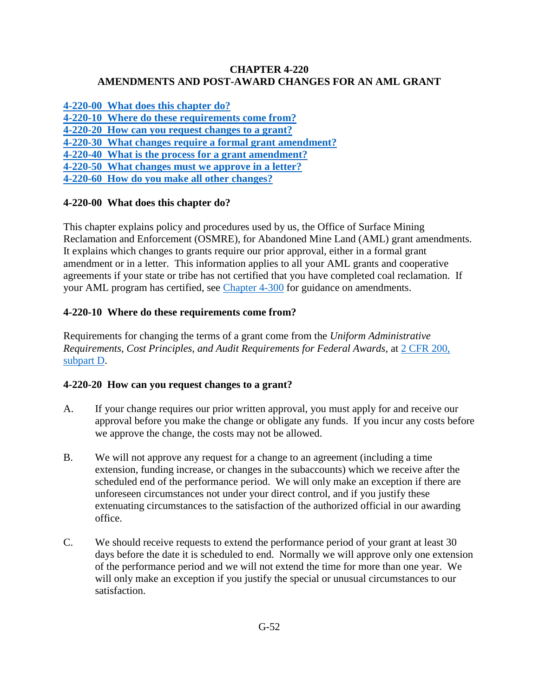#### **CHAPTER 4-220 AMENDMENTS AND POST-AWARD CHANGES FOR AN AML GRANT**

**[4-220-00 What does this chapter do?](#page-0-0)**

- **[4-220-10 Where do these requirements come from?](#page-0-1)**
- **[4-220-20 How can you request changes to a grant?](#page-0-2)**
- **[4-220-30 What changes require a formal grant amendment?](#page-1-0)**
- **[4-220-40 What is the process for a grant amendment?](#page-1-1)**
- **[4-220-50 What changes must we approve in a letter?](#page-2-0)**

**[4-220-60 How do you make all other changes?](#page-2-1)**

# <span id="page-0-0"></span>**4-220-00 What does this chapter do?**

This chapter explains policy and procedures used by us, the Office of Surface Mining Reclamation and Enforcement (OSMRE), for Abandoned Mine Land (AML) grant amendments. It explains which changes to grants require our prior approval, either in a formal grant amendment or in a letter. This information applies to all your AML grants and cooperative agreements if your state or tribe has not certified that you have completed coal reclamation. If your AML program has certified, see [Chapter 4-300](https://www.osmre.gov/lrg/fam/4-300.pdf) for guidance on amendments.

# <span id="page-0-1"></span>**4-220-10 Where do these requirements come from?**

Requirements for changing the terms of a grant come from the *Uniform Administrative Requirements, Cost Principles, and Audit Requirements for Federal Awards*, at [2 CFR 200,](http://www.ecfr.gov/cgi-bin/text-idx?SID=5cdb64f9c9637b7beffcfd737cae593c&node=pt2.1.200&rgn=div5)  [subpart D.](http://www.ecfr.gov/cgi-bin/text-idx?SID=5cdb64f9c9637b7beffcfd737cae593c&node=pt2.1.200&rgn=div5)

### <span id="page-0-2"></span>**4-220-20 How can you request changes to a grant?**

- A. If your change requires our prior written approval, you must apply for and receive our approval before you make the change or obligate any funds. If you incur any costs before we approve the change, the costs may not be allowed.
- B. We will not approve any request for a change to an agreement (including a time extension, funding increase, or changes in the subaccounts) which we receive after the scheduled end of the performance period. We will only make an exception if there are unforeseen circumstances not under your direct control, and if you justify these extenuating circumstances to the satisfaction of the authorized official in our awarding office.
- C. We should receive requests to extend the performance period of your grant at least 30 days before the date it is scheduled to end. Normally we will approve only one extension of the performance period and we will not extend the time for more than one year. We will only make an exception if you justify the special or unusual circumstances to our satisfaction.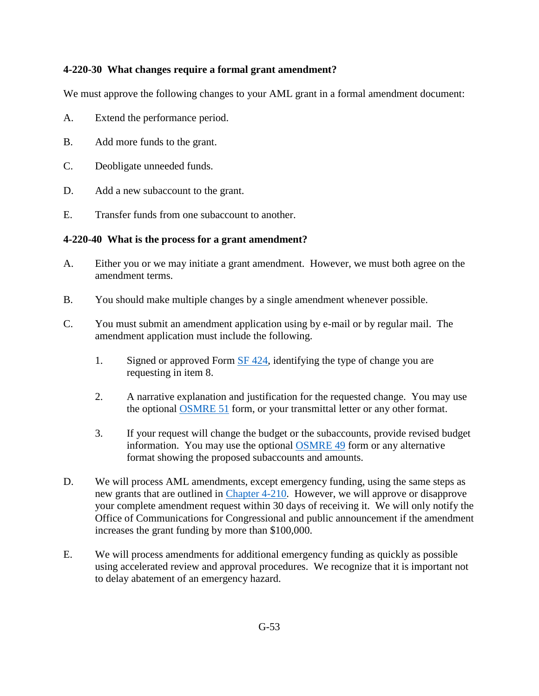### <span id="page-1-0"></span>**4-220-30 What changes require a formal grant amendment?**

We must approve the following changes to your AML grant in a formal amendment document:

- A. Extend the performance period.
- B. Add more funds to the grant.
- C. Deobligate unneeded funds.
- D. Add a new subaccount to the grant.
- E. Transfer funds from one subaccount to another.

#### <span id="page-1-1"></span>**4-220-40 What is the process for a grant amendment?**

- A. Either you or we may initiate a grant amendment. However, we must both agree on the amendment terms.
- B. You should make multiple changes by a single amendment whenever possible.
- C. You must submit an amendment application using by e-mail or by regular mail. The amendment application must include the following.
	- 1. Signed or approved Form [SF 424,](http://apply07.grants.gov/apply/forms/sample/SF424_2_1-V2.1.pdf) identifying the type of change you are requesting in item 8.
	- 2. A narrative explanation and justification for the requested change. You may use the optional [OSMRE 51](http://www.osmre.gov/resources/forms/OSM51.pdf) form, or your transmittal letter or any other format.
	- 3. If your request will change the budget or the subaccounts, provide revised budget information. You may use the optional [OSMRE 49](http://www.osmre.gov/resources/forms/OSM49.pdf) form or any alternative format showing the proposed subaccounts and amounts.
- D. We will process AML amendments, except emergency funding, using the same steps as new grants that are outlined in [Chapter 4-210.](https://www.osmre.gov/lrg/fam/4-210.pdf) However, we will approve or disapprove your complete amendment request within 30 days of receiving it. We will only notify the Office of Communications for Congressional and public announcement if the amendment increases the grant funding by more than \$100,000.
- E. We will process amendments for additional emergency funding as quickly as possible using accelerated review and approval procedures. We recognize that it is important not to delay abatement of an emergency hazard.